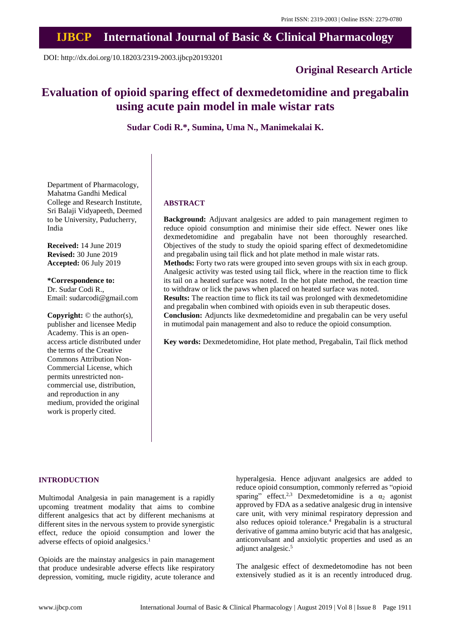# **IJBCP International Journal of Basic & Clinical Pharmacology**

DOI: http://dx.doi.org/10.18203/2319-2003.ijbcp20193201

## **Original Research Article**

## **Evaluation of opioid sparing effect of dexmedetomidine and pregabalin using acute pain model in male wistar rats**

**Sudar Codi R.\*, Sumina, Uma N., Manimekalai K.**

Department of Pharmacology, Mahatma Gandhi Medical College and Research Institute, Sri Balaji Vidyapeeth, Deemed to be University, Puducherry, India

**Received:** 14 June 2019 **Revised:** 30 June 2019 **Accepted:** 06 July 2019

**\*Correspondence to:** Dr. Sudar Codi R., Email: sudarcodi@gmail.com

**Copyright:** © the author(s), publisher and licensee Medip Academy. This is an openaccess article distributed under the terms of the Creative Commons Attribution Non-Commercial License, which permits unrestricted noncommercial use, distribution, and reproduction in any medium, provided the original work is properly cited.

### **ABSTRACT**

**Background:** Adjuvant analgesics are added to pain management regimen to reduce opioid consumption and minimise their side effect. Newer ones like dexmedetomidine and pregabalin have not been thoroughly researched. Objectives of the study to study the opioid sparing effect of dexmedetomidine and pregabalin using tail flick and hot plate method in male wistar rats. **Methods:** Forty two rats were grouped into seven groups with six in each group. Analgesic activity was tested using tail flick, where in the reaction time to flick its tail on a heated surface was noted. In the hot plate method, the reaction time

to withdraw or lick the paws when placed on heated surface was noted. **Results:** The reaction time to flick its tail was prolonged with dexmedetomidine and pregabalin when combined with opioids even in sub therapeutic doses.

**Conclusion:** Adjuncts like dexmedetomidine and pregabalin can be very useful in mutimodal pain management and also to reduce the opioid consumption.

**Key words:** Dexmedetomidine, Hot plate method, Pregabalin, Tail flick method

#### **INTRODUCTION**

Multimodal Analgesia in pain management is a rapidly upcoming treatment modality that aims to combine different analgesics that act by different mechanisms at different sites in the nervous system to provide synergistic effect, reduce the opioid consumption and lower the adverse effects of opioid analgesics.<sup>1</sup>

Opioids are the mainstay analgesics in pain management that produce undesirable adverse effects like respiratory depression, vomiting, mucle rigidity, acute tolerance and hyperalgesia. Hence adjuvant analgesics are added to reduce opioid consumption, commonly referred as "opioid sparing" effect.<sup>2,3</sup> Dexmedetomidine is a  $\alpha_2$  agonist approved by FDA as a sedative analgesic drug in intensive care unit, with very minimal respiratory depression and also reduces opioid tolerance.<sup>4</sup> Pregabalin is a structural derivative of gamma amino butyric acid that has analgesic, anticonvulsant and anxiolytic properties and used as an adjunct analgesic.<sup>5</sup>

The analgesic effect of dexmedetomodine has not been extensively studied as it is an recently introduced drug.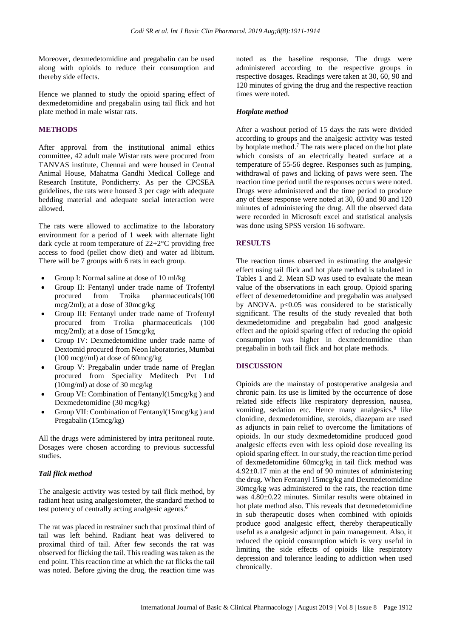Moreover, dexmedetomidine and pregabalin can be used along with opioids to reduce their consumption and thereby side effects.

Hence we planned to study the opioid sparing effect of dexmedetomidine and pregabalin using tail flick and hot plate method in male wistar rats.

#### **METHODS**

After approval from the institutional animal ethics committee, 42 adult male Wistar rats were procured from TANVAS institute, Chennai and were housed in Central Animal House, Mahatma Gandhi Medical College and Research Institute, Pondicherry. As per the CPCSEA guidelines, the rats were housed 3 per cage with adequate bedding material and adequate social interaction were allowed.

The rats were allowed to acclimatize to the laboratory environment for a period of 1 week with alternate light dark cycle at room temperature of 22+2°C providing free access to food (pellet chow diet) and water ad libitum. There will be 7 groups with 6 rats in each group.

- Group I: Normal saline at dose of 10 ml/kg
- Group II: Fentanyl under trade name of Trofentyl procured from Troika pharmaceuticals(100 mcg/2ml); at a dose of 30mcg/kg
- Group III: Fentanyl under trade name of Trofentyl procured from Troika pharmaceuticals (100 mcg/2ml); at a dose of 15mcg/kg
- Group IV: Dexmedetomidine under trade name of Dextomid procured from Neon laboratories, Mumbai (100 mcg//ml) at dose of 60mcg/kg
- Group V: Pregabalin under trade name of Preglan procured from Speciality Meditech Pvt Ltd (10mg/ml) at dose of 30 mcg/kg
- Group VI: Combination of Fentanyl(15mcg/kg ) and Dexmedetomidine (30 mcg/kg)
- Group VII: Combination of Fentanyl(15mcg/kg ) and Pregabalin (15mcg/kg)

All the drugs were administered by intra peritoneal route. Dosages were chosen according to previous successful studies.

#### *Tail flick method*

The analgesic activity was tested by tail flick method, by radiant heat using analgesiometer, the standard method to test potency of centrally acting analgesic agents.<sup>6</sup>

The rat was placed in restrainer such that proximal third of tail was left behind. Radiant heat was delivered to proximal third of tail. After few seconds the rat was observed for flicking the tail. This reading was taken as the end point. This reaction time at which the rat flicks the tail was noted. Before giving the drug, the reaction time was noted as the baseline response. The drugs were administered according to the respective groups in respective dosages. Readings were taken at 30, 60, 90 and 120 minutes of giving the drug and the respective reaction times were noted.

#### *Hotplate method*

After a washout period of 15 days the rats were divided according to groups and the analgesic activity was tested by hotplate method.<sup>7</sup> The rats were placed on the hot plate which consists of an electrically heated surface at a temperature of 55-56 degree. Responses such as jumping, withdrawal of paws and licking of paws were seen. The reaction time period until the responses occurs were noted. Drugs were administered and the time period to produce any of these response were noted at 30, 60 and 90 and 120 minutes of administering the drug. All the observed data were recorded in Microsoft excel and statistical analysis was done using SPSS version 16 software.

#### **RESULTS**

The reaction times observed in estimating the analgesic effect using tail flick and hot plate method is tabulated in Tables 1 and 2. Mean SD was used to evaluate the mean value of the observations in each group. Opioid sparing effect of dexemedetomidine and pregabalin was analysed by ANOVA.  $p<0.05$  was considered to be statistically significant. The results of the study revealed that both dexmedetomidine and pregabalin had good analgesic effect and the opioid sparing effect of reducing the opioid consumption was higher in dexmedetomidine than pregabalin in both tail flick and hot plate methods.

#### **DISCUSSION**

Opioids are the mainstay of postoperative analgesia and chronic pain. Its use is limited by the occurrence of dose related side effects like respiratory depression, nausea, vomiting, sedation etc. Hence many analgesics.<sup>8</sup> like clonidine, dexmedetomidine, steroids, diazepam are used as adjuncts in pain relief to overcome the limitations of opioids. In our study dexmedetomidine produced good analgesic effects even with less opioid dose revealing its opioid sparing effect. In our study, the reaction time period of dexmedetomidine 60mcg/kg in tail flick method was 4.92±0.17 min at the end of 90 minutes of administering the drug. When Fentanyl 15mcg/kg and Dexmedetomidine 30mcg/kg was administered to the rats, the reaction time was 4.80±0.22 minutes. Similar results were obtained in hot plate method also. This reveals that dexmedetomidine in sub therapeutic doses when combined with opioids produce good analgesic effect, thereby therapeutically useful as a analgesic adjunct in pain management. Also, it reduced the opioid consumption which is very useful in limiting the side effects of opioids like respiratory depression and tolerance leading to addiction when used chronically.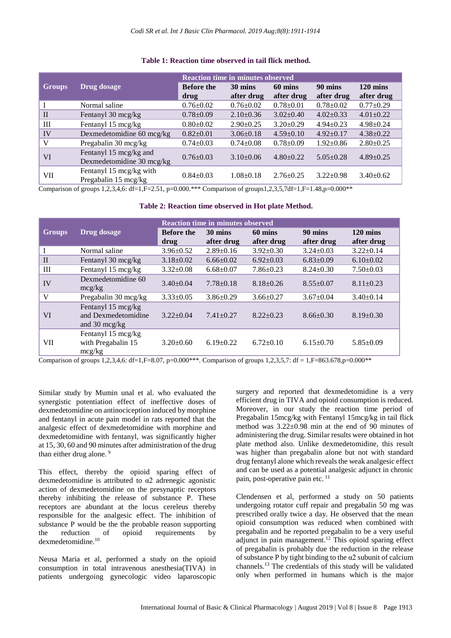|              |                                                     | <b>Reaction time in minutes observed</b> |                       |                       |                       |                                  |  |
|--------------|-----------------------------------------------------|------------------------------------------|-----------------------|-----------------------|-----------------------|----------------------------------|--|
| Groups       | Drug dosage                                         | <b>Before the</b><br>drug                | 30 mins<br>after drug | 60 mins<br>after drug | 90 mins<br>after drug | $120 \text{ mins}$<br>after drug |  |
|              | Normal saline                                       | $0.76 \pm 0.02$                          | $0.76 \pm 0.02$       | $0.78 \pm 0.01$       | $0.78 \pm 0.02$       | $0.77 \pm 0.29$                  |  |
| $\mathbf{I}$ | Fentanyl 30 mcg/kg                                  | $0.78 \pm 0.09$                          | $2.10\pm0.36$         | $3.02+0.40$           | $4.02+0.33$           | $4.01 \pm 0.22$                  |  |
| III          | Fentanyl 15 mcg/kg                                  | $0.80 \pm 0.02$                          | $2.90+0.25$           | $3.20 \pm 0.29$       | $4.94 + 0.23$         | $4.98 \pm 0.24$                  |  |
| IV           | Dexmedetomidine $60 \text{ mcg/kg}$                 | $0.82 \pm 0.01$                          | $3.06\pm0.18$         | $4.59 \pm 0.10$       | $4.92+0.17$           | $4.38 \pm 0.22$                  |  |
| V            | Pregabalin 30 mcg/kg                                | $0.74 \pm 0.03$                          | $0.74 \pm 0.08$       | $0.78 \pm 0.09$       | $1.92 \pm 0.86$       | $2.80 \pm 0.25$                  |  |
| VI           | Fentanyl 15 mcg/kg and<br>Dexmedetomidine 30 mcg/kg | $0.76 \pm 0.03$                          | $3.10+0.06$           | $4.80+0.22$           | $5.05 \pm 0.28$       | $4.89 \pm 0.25$                  |  |
| VII          | Fentanyl 15 mcg/kg with<br>Pregabalin 15 mcg/kg     | $0.84 \pm 0.03$                          | $1.08 \pm 0.18$       | $2.76 + 0.25$         | $3.22 \pm 0.98$       | $3.40 \pm 0.62$                  |  |

#### **Table 1: Reaction time observed in tail flick method.**

Comparison of groups 1,2,3,4,6: df=1,F=2.51, p=0.000.\*\*\* Comparison of groups1,2,3,5,7df=1,F=1.48,p=0.000\*\*

#### **Table 2: Reaction time observed in Hot plate Method.**

|               | Drug dosage                                                  | <b>Reaction time in minutes observed</b> |                       |                       |                       |                                  |  |  |
|---------------|--------------------------------------------------------------|------------------------------------------|-----------------------|-----------------------|-----------------------|----------------------------------|--|--|
| <b>Groups</b> |                                                              | <b>Before the</b><br>drug                | 30 mins<br>after drug | 60 mins<br>after drug | 90 mins<br>after drug | $120 \text{ mins}$<br>after drug |  |  |
|               | Normal saline                                                | $3.96 \pm 0.52$                          | $2.89 \pm 0.16$       | $3.92 \pm 0.30$       | $3.24 \pm 0.03$       | $3.22 \pm 0.14$                  |  |  |
| $\mathbf{I}$  | Fentanyl 30 mcg/kg                                           | $3.18 \pm 0.02$                          | $6.66 \pm 0.02$       | $6.92 \pm 0.03$       | $6.83 \pm 0.09$       | $6.10\pm0.02$                    |  |  |
| Ш             | Fentanyl 15 mcg/kg                                           | $3.32 \pm 0.08$                          | $6.68 \pm 0.07$       | $7.86 \pm 0.23$       | $8.24 \pm 0.30$       | $7.50+0.03$                      |  |  |
| IV            | Dexmedetomidine 60<br>mcg/kg                                 | $3.40+0.04$                              | $7.78 \pm 0.18$       | $8.18 \pm 0.26$       | $8.55 \pm 0.07$       | $8.11 \pm 0.23$                  |  |  |
| V             | Pregabalin $30 \text{~mcg/kg}$                               | $3.33 \pm 0.05$                          | $3.86 \pm 0.29$       | $3.66 \pm 0.27$       | $3.67 \pm 0.04$       | $3.40 \pm 0.14$                  |  |  |
| VI            | Fentanyl 15 mcg/kg<br>and Dexmedetomidine<br>and 30 $mcg/kg$ | $3.22+0.04$                              | $7.41 + 0.27$         | $8.22 + 0.23$         | $8.66 \pm 0.30$       | $8.19 \pm 0.30$                  |  |  |
| VШ            | Fentanyl 15 mcg/kg<br>with Pregabalin 15<br>mcg/kg           | $3.20 \pm 0.60$                          | $6.19 \pm 0.22$       | $6.72+0.10$           | $6.15 \pm 0.70$       | $5.85 \pm 0.09$                  |  |  |

Comparison of groups 1,2,3,4,6: df=1,F=8.07, p=0.000\*\*\*. Comparison of groups 1,2,3,5,7: df = 1,F=863.678,p=0.000\*\*

Similar study by Mumin unal et al. who evaluated the synergistic potentiation effect of ineffective doses of dexmedetomidine on antinociception induced by morphine and fentanyl in acute pain model in rats reported that the analgesic effect of dexmedetomidine with morphine and dexmedetomidine with fentanyl, was significantly higher at 15, 30, 60 and 90 minutes after administration of the drug than either drug alone.<sup>9</sup>

This effect, thereby the opioid sparing effect of dexmedetomidine is attributed to  $\alpha$ 2 adrenegic agonistic action of dexmedetomidine on the presynaptic receptors thereby inhibiting the release of substance P. These receptors are abundant at the locus cereleus thereby responsible for the analgesic effect. The inhibition of substance P would be the the probable reason supporting the reduction of opioid requirements by  $d$ exmedetomidine. $^{\rm 10}$ 

Neusa Maria et al, performed a study on the opioid consumption in total intravenous anesthesia(TIVA) in patients undergoing gynecologic video laparoscopic

surgery and reported that dexmedetomidine is a very efficient drug in TIVA and opioid consumption is reduced. Moreover, in our study the reaction time period of Pregabalin 15mcg/kg with Fentanyl 15mcg/kg in tail flick method was 3.22±0.98 min at the end of 90 minutes of administering the drug. Similar results were obtained in hot plate method also. Unlike dexmedetomidine, this result was higher than pregabalin alone but not with standard drug fentanyl alone which reveals the weak analgesic effect and can be used as a potential analgesic adjunct in chronic pain, post-operative pain etc. <sup>11</sup>

Clendensen et al, performed a study on 50 patients undergoing rotator cuff repair and pregabalin 50 mg was prescribed orally twice a day. He observed that the mean opioid consumption was reduced when combined with pregabalin and he reported pregabalin to be a very useful adjunct in pain management.<sup>12</sup> This opioid sparing effect of pregabalin is probably due the reduction in the release of substance P by tight binding to the  $\alpha$ 2 subunit of calcium channels.<sup>13</sup> The credentials of this study will be validated only when performed in humans which is the major